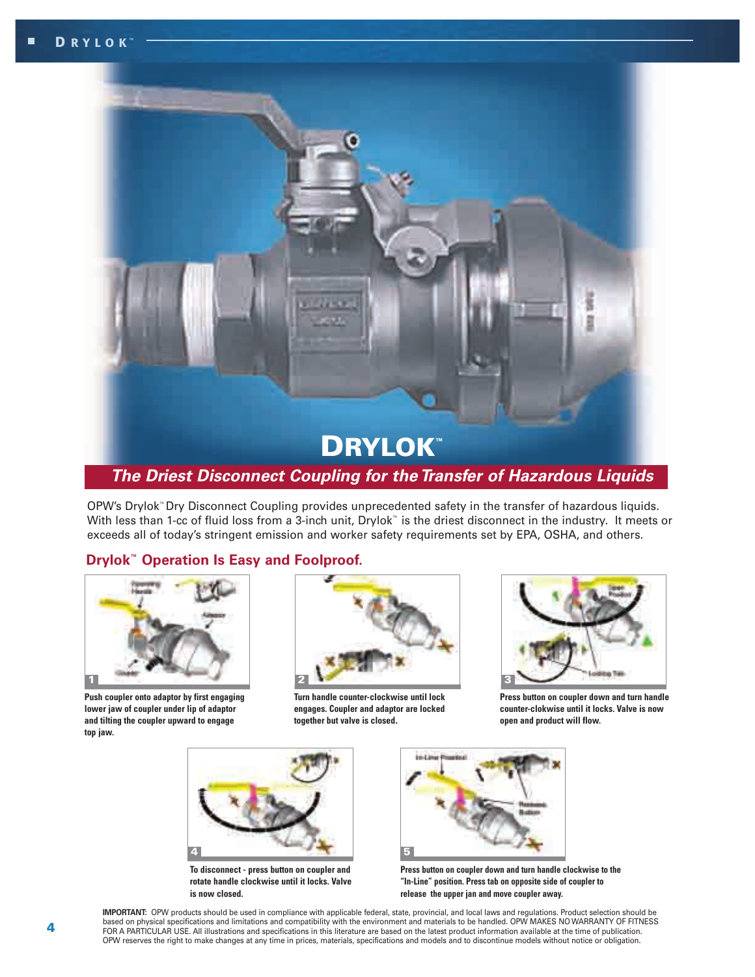

OPW's Drylok™Dry Disconnect Coupling provides unprecedented safety in the transfer of hazardous liquids. With less than 1-cc of fluid loss from a 3-inch unit, Drylok™ is the driest disconnect in the industry. It meets or exceeds all of today's stringent emission and worker safety requirements set by EPA, OSHA, and others.

# **Drylok™ Operation Is Easy and Foolproof.**



**Push coupler onto adaptor by first engaging lower jaw of coupler under lip of adaptor and tilting the coupler upward to engage top jaw.**



**Turn handle counter-clockwise until lock engages. Coupler and adaptor are locked together but valve is closed.**



**Press button on coupler down and turn handle counter-clokwise until it locks. Valve is now open and product will flow.**



**To disconnect - press button on coupler and rotate handle clockwise until it locks. Valve is now closed.**



**Press button on coupler down and turn handle clockwise to the "In-Line" position. Press tab on opposite side of coupler to release the upper jan and move coupler away.**

**IMPORTANT:** OPW products should be used in compliance with applicable federal, state, provincial, and local laws and regulations. Product selection should be based on physical specifications and limitations and compatibility with the environment and materials to be handled. OPW MAKES NO WARRANTY OF FITNESS FOR A PARTICULAR USE. All illustrations and specifications in this literature are based on the latest product information available at the time of publication. OPW reserves the right to make changes at any time in prices, materials, specifications and models and to discontinue models without notice or obligation.